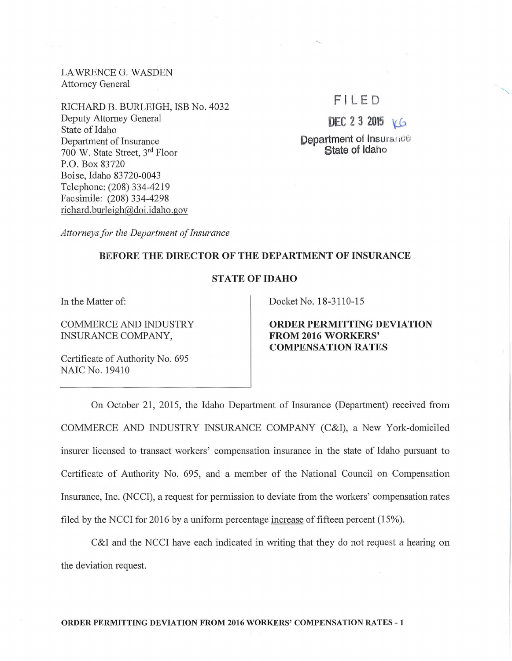LAWRENCE G. WASDEN Attorney General

RICHARD B. BURLEIGH, ISB No. 4032 Deputy Attorney General State of Idaho Department of Insurance 700 W. State Street, 3rd Floor P.O. Box 83720 Boise, Idaho 83720-0043 Telephone: (208) 334-4219 Facsimile: (208) 334-4298 richard. burleigh@doi.idaho.gov

## $FIIFD$

DEC 2 3 2015  $V(G)$ 

Department of Insurance State of Idaho

*Attorneys for the Department of Insurance* 

## BEFORE THE DIRECTOR OF THE DEPARTMENT OF INSURANCE

## STATE OF IDAHO

In the Matter of:

COMMERCE AND INDUSTRY INSURANCE COMPANY,

Certificate of Authority No. 695 NAIC No. 19410

Docket No. 18-3110-15

ORDER PERMITTING DEVIATION FROM 2016 WORKERS' COMPENSATION RATES

On October 21, 2015, the Idaho Department of Insurance (Department) received from COMMERCE AND INDUSTRY INSURANCE COMPANY (C&I), a New York-domiciled insurer licensed to transact workers' compensation insurance in the state of Idaho pursuant to Certificate of Authority No. 695, and a member of the National Council on Compensation Insurance, Inc. (NCCI), a request for permission to deviate from the workers' compensation rates filed by the NCCI for 2016 by a uniform percentage increase of fifteen percent  $(15\%)$ .

C&I and the NCCI have each indicated in writing that they do not request a hearing on the deviation request.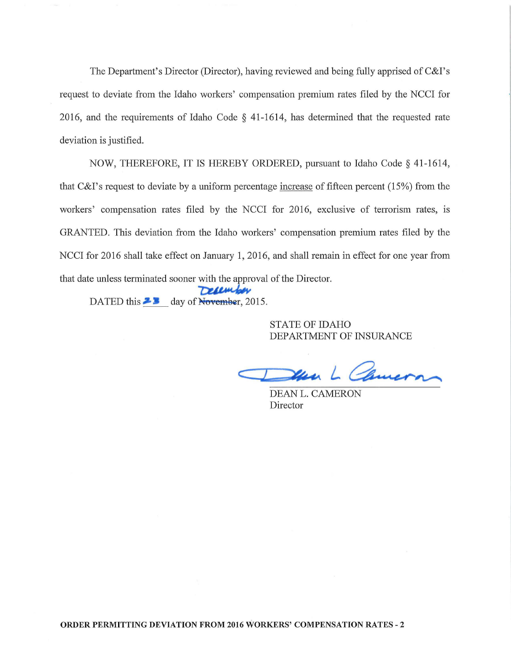The Department's Director (Director), having reviewed and being fully apprised of C&I's request to deviate from the Idaho workers' compensation premium rates filed by the NCCI for 2016, and the requirements of Idaho Code  $\S$  41-1614, has determined that the requested rate deviation is justified.

NOW, THEREFORE, IT IS HEREBY ORDERED, pursuant to Idaho Code§ 41-1614, that C&I's request to deviate by a uniform percentage increase of fifteen percent (15%) from the workers' compensation rates filed by the NCCI for 2016, exclusive of tenorism rates, is GRANTED. This deviation from the Idaho workers' compensation premium rates filed by the NCCI for 2016 shall take effect on January 1, 2016, and shall remain in effect for one year from that date unless terminated sooner with the approval of the Director.

Defember DATED this  $\blacktriangleright$  day of November, 2015.

> STATE OF IDAHO DEPARTMENT OF INSURANCE

Church

DEAN L. CAMERON Director